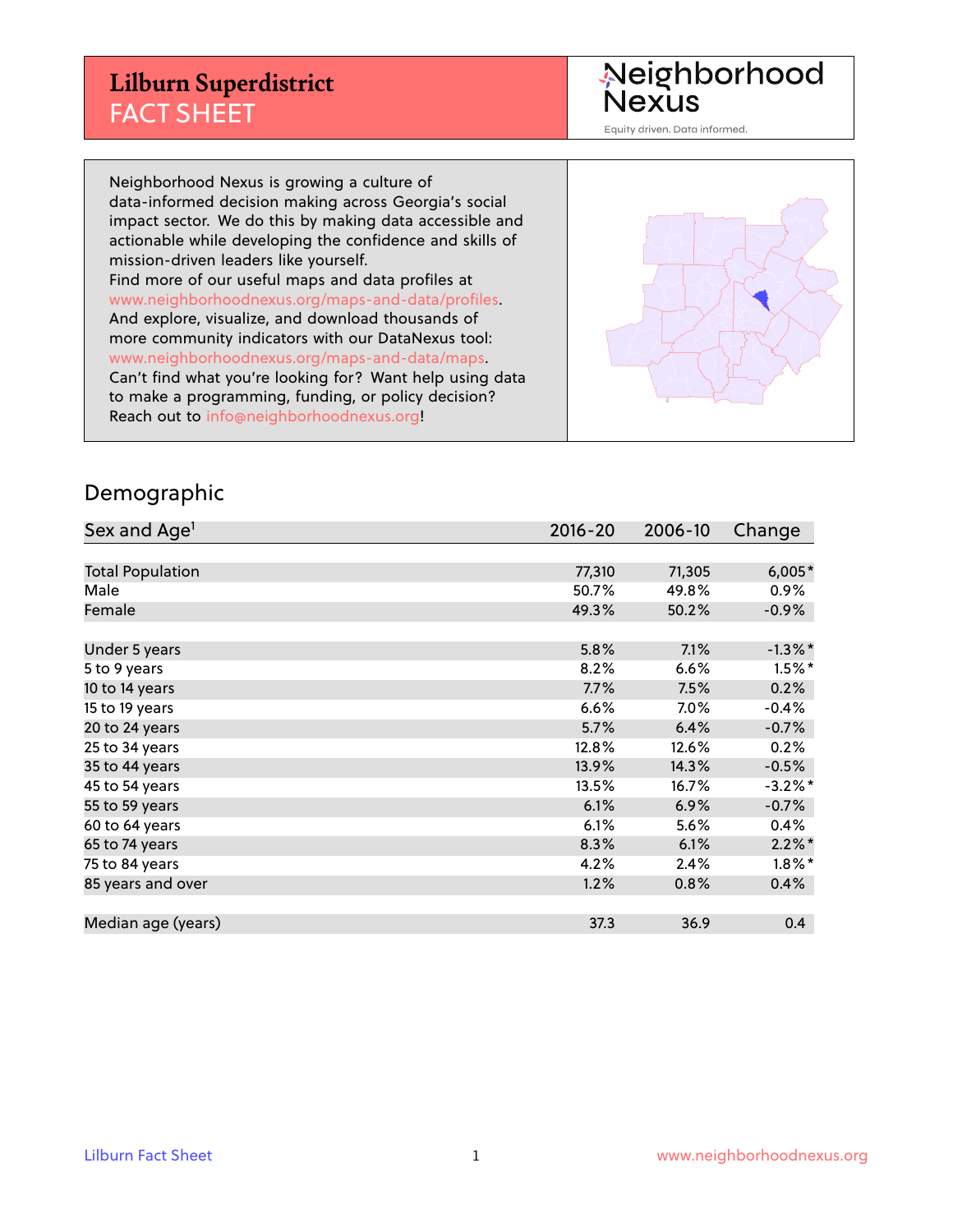Neighborhood<br>Nexus

Equity driven. Data informed.

Neighborhood Nexus is growing a culture of data-informed decision making across Georgia's social impact sector. We do this by making data accessible and actionable while developing the confidence and skills of mission-driven leaders like yourself. Find more of our useful maps and data profiles at www.neighborhoodnexus.org/maps-and-data/profiles. And explore, visualize, and download thousands of more community indicators with our DataNexus tool: www.neighborhoodnexus.org/maps-and-data/maps. Can't find what you're looking for? Want help using data to make a programming, funding, or policy decision? Reach out to [info@neighborhoodnexus.org!](mailto:info@neighborhoodnexus.org)



#### Demographic

| Sex and Age <sup>1</sup> | $2016 - 20$ | 2006-10 | Change     |
|--------------------------|-------------|---------|------------|
|                          |             |         |            |
| <b>Total Population</b>  | 77,310      | 71,305  | $6,005*$   |
| Male                     | 50.7%       | 49.8%   | 0.9%       |
| Female                   | 49.3%       | 50.2%   | $-0.9\%$   |
|                          |             |         |            |
| Under 5 years            | 5.8%        | 7.1%    | $-1.3\%$ * |
| 5 to 9 years             | 8.2%        | 6.6%    | $1.5%$ *   |
| 10 to 14 years           | 7.7%        | 7.5%    | 0.2%       |
| 15 to 19 years           | 6.6%        | $7.0\%$ | $-0.4%$    |
| 20 to 24 years           | 5.7%        | 6.4%    | $-0.7%$    |
| 25 to 34 years           | 12.8%       | 12.6%   | 0.2%       |
| 35 to 44 years           | 13.9%       | 14.3%   | $-0.5%$    |
| 45 to 54 years           | 13.5%       | 16.7%   | $-3.2\%$ * |
| 55 to 59 years           | 6.1%        | 6.9%    | $-0.7%$    |
| 60 to 64 years           | 6.1%        | 5.6%    | 0.4%       |
| 65 to 74 years           | 8.3%        | 6.1%    | $2.2\%$ *  |
| 75 to 84 years           | 4.2%        | 2.4%    | $1.8\%$ *  |
| 85 years and over        | 1.2%        | 0.8%    | 0.4%       |
|                          |             |         |            |
| Median age (years)       | 37.3        | 36.9    | 0.4        |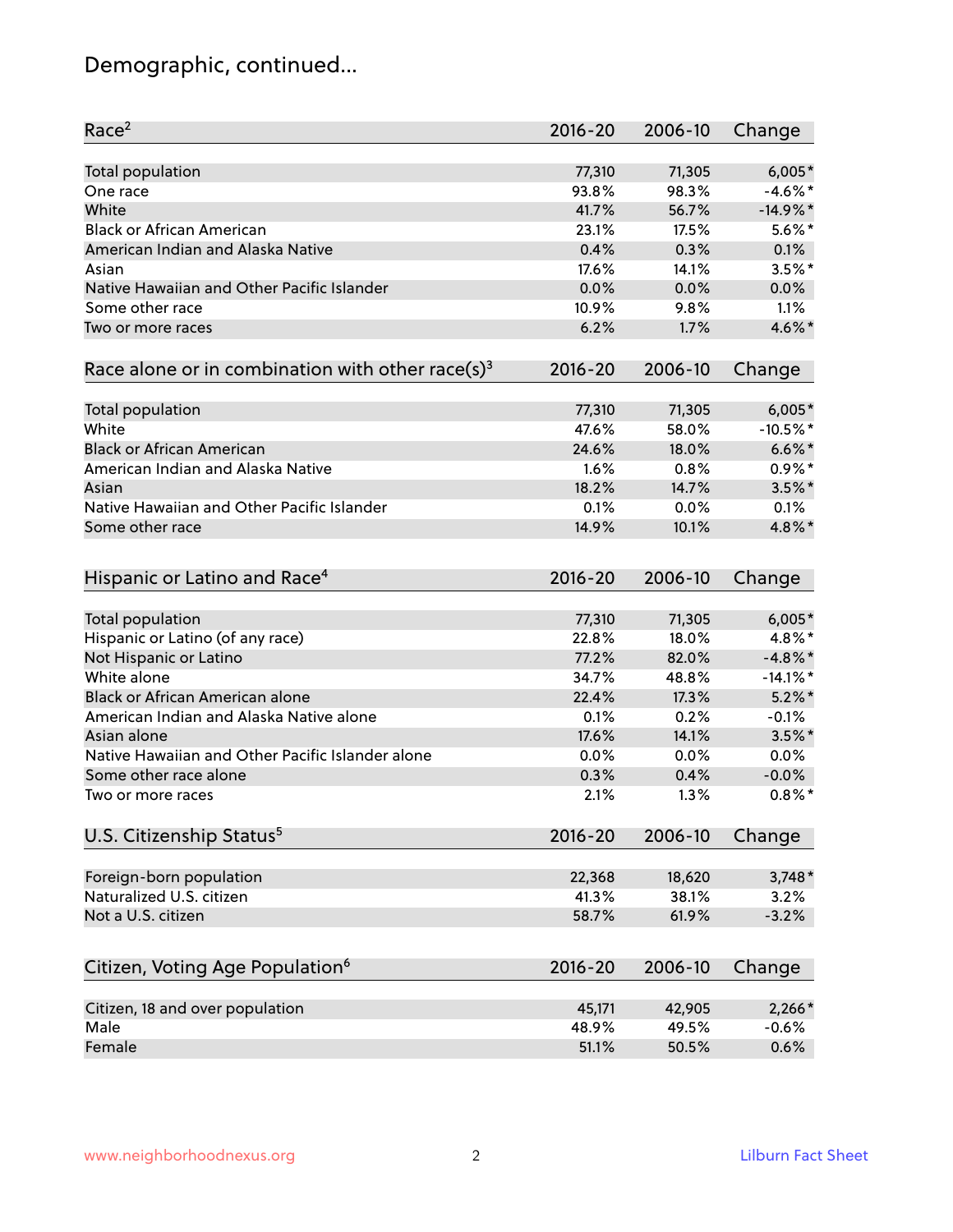# Demographic, continued...

| Race <sup>2</sup>                                            | $2016 - 20$ | 2006-10 | Change      |
|--------------------------------------------------------------|-------------|---------|-------------|
| <b>Total population</b>                                      | 77,310      | 71,305  | $6,005*$    |
| One race                                                     | 93.8%       | 98.3%   | $-4.6\%$ *  |
| White                                                        | 41.7%       | 56.7%   | $-14.9%$ *  |
| <b>Black or African American</b>                             | 23.1%       | 17.5%   | $5.6\%$ *   |
| American Indian and Alaska Native                            | 0.4%        | 0.3%    | 0.1%        |
| Asian                                                        | 17.6%       | 14.1%   | $3.5%$ *    |
| Native Hawaiian and Other Pacific Islander                   | 0.0%        | 0.0%    | 0.0%        |
| Some other race                                              | 10.9%       | 9.8%    | 1.1%        |
| Two or more races                                            | 6.2%        | 1.7%    | 4.6%*       |
| Race alone or in combination with other race(s) <sup>3</sup> | $2016 - 20$ | 2006-10 | Change      |
| <b>Total population</b>                                      | 77,310      | 71,305  | $6,005*$    |
| White                                                        | 47.6%       | 58.0%   | $-10.5%$ *  |
| <b>Black or African American</b>                             | 24.6%       | 18.0%   | $6.6\%$ *   |
| American Indian and Alaska Native                            | 1.6%        | 0.8%    | $0.9%$ *    |
| Asian                                                        | 18.2%       | 14.7%   | $3.5\%$ *   |
| Native Hawaiian and Other Pacific Islander                   | 0.1%        | 0.0%    | 0.1%        |
| Some other race                                              | 14.9%       | 10.1%   | 4.8%*       |
| Hispanic or Latino and Race <sup>4</sup>                     | 2016-20     | 2006-10 | Change      |
| Total population                                             | 77,310      | 71,305  | $6,005*$    |
| Hispanic or Latino (of any race)                             | 22.8%       | 18.0%   | 4.8%*       |
| Not Hispanic or Latino                                       | 77.2%       | 82.0%   | $-4.8\%$ *  |
| White alone                                                  | 34.7%       | 48.8%   | $-14.1\%$ * |
| <b>Black or African American alone</b>                       | 22.4%       | 17.3%   | $5.2\%$ *   |
| American Indian and Alaska Native alone                      | 0.1%        | 0.2%    | $-0.1%$     |
| Asian alone                                                  | 17.6%       | 14.1%   | $3.5\%$ *   |
| Native Hawaiian and Other Pacific Islander alone             | 0.0%        | 0.0%    | 0.0%        |
| Some other race alone                                        | 0.3%        | 0.4%    | $-0.0%$     |
| Two or more races                                            | 2.1%        | 1.3%    | $0.8\%$ *   |
| U.S. Citizenship Status <sup>5</sup>                         | 2016-20     | 2006-10 | Change      |
| Foreign-born population                                      | 22,368      | 18,620  | $3,748*$    |
| Naturalized U.S. citizen                                     | 41.3%       | 38.1%   | 3.2%        |
| Not a U.S. citizen                                           | 58.7%       | 61.9%   | $-3.2%$     |
|                                                              |             |         |             |
| Citizen, Voting Age Population <sup>6</sup>                  | $2016 - 20$ | 2006-10 | Change      |
| Citizen, 18 and over population                              | 45,171      | 42,905  | $2,266*$    |
| Male                                                         | 48.9%       | 49.5%   | $-0.6%$     |
| Female                                                       | 51.1%       | 50.5%   | 0.6%        |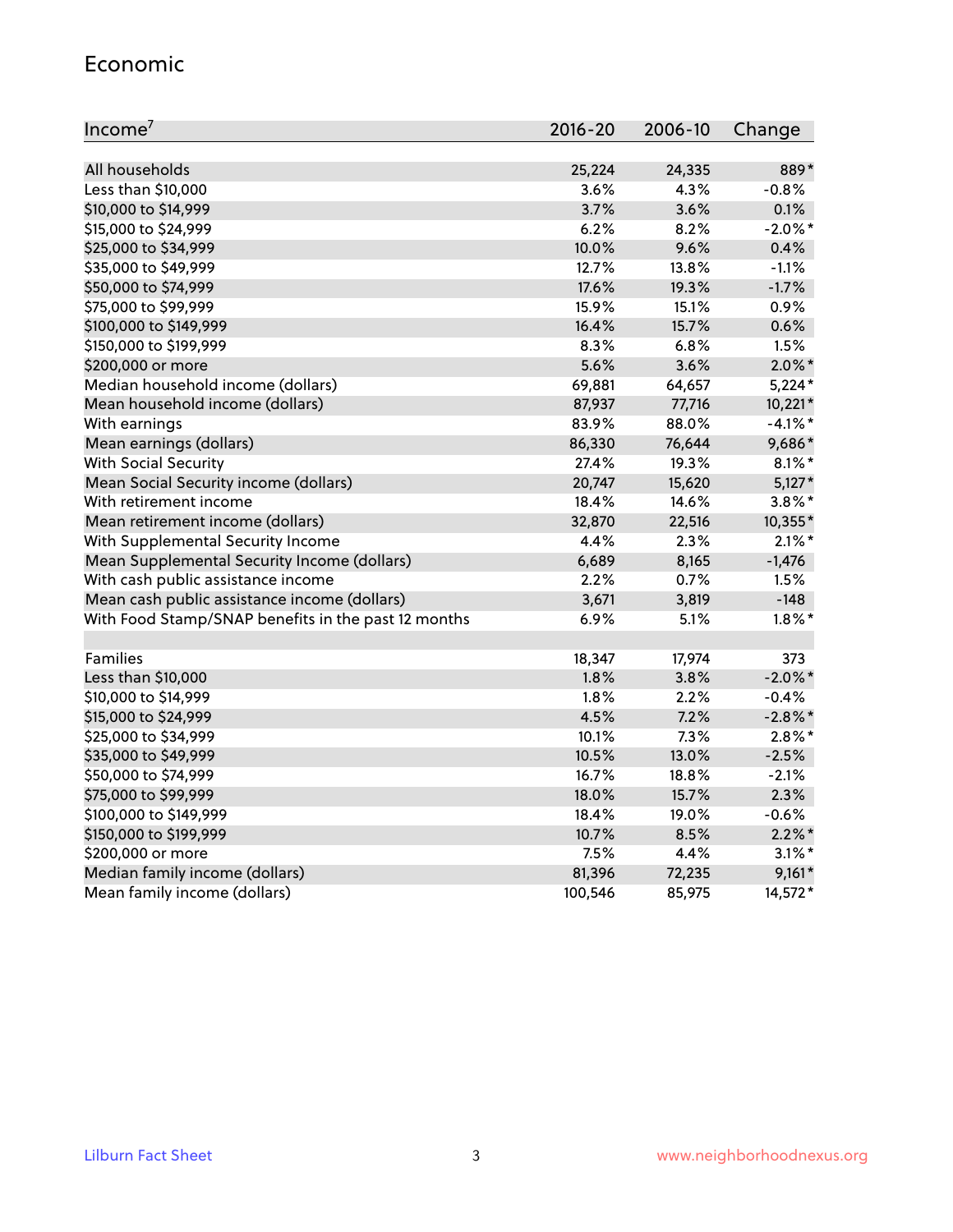#### Economic

| Income <sup>7</sup>                                 | $2016 - 20$ | 2006-10 | Change     |
|-----------------------------------------------------|-------------|---------|------------|
|                                                     |             |         |            |
| All households                                      | 25,224      | 24,335  | 889*       |
| Less than \$10,000                                  | 3.6%        | 4.3%    | $-0.8%$    |
| \$10,000 to \$14,999                                | 3.7%        | 3.6%    | 0.1%       |
| \$15,000 to \$24,999                                | 6.2%        | 8.2%    | $-2.0\%$ * |
| \$25,000 to \$34,999                                | 10.0%       | 9.6%    | 0.4%       |
| \$35,000 to \$49,999                                | 12.7%       | 13.8%   | $-1.1%$    |
| \$50,000 to \$74,999                                | 17.6%       | 19.3%   | $-1.7%$    |
| \$75,000 to \$99,999                                | 15.9%       | 15.1%   | 0.9%       |
| \$100,000 to \$149,999                              | 16.4%       | 15.7%   | 0.6%       |
| \$150,000 to \$199,999                              | 8.3%        | 6.8%    | 1.5%       |
| \$200,000 or more                                   | 5.6%        | 3.6%    | $2.0\%$ *  |
| Median household income (dollars)                   | 69,881      | 64,657  | $5,224*$   |
| Mean household income (dollars)                     | 87,937      | 77,716  | 10,221*    |
| With earnings                                       | 83.9%       | 88.0%   | $-4.1\%$ * |
| Mean earnings (dollars)                             | 86,330      | 76,644  | 9,686*     |
| <b>With Social Security</b>                         | 27.4%       | 19.3%   | $8.1\%$ *  |
| Mean Social Security income (dollars)               | 20,747      | 15,620  | $5,127*$   |
| With retirement income                              | 18.4%       | 14.6%   | $3.8\%$ *  |
| Mean retirement income (dollars)                    | 32,870      | 22,516  | 10,355*    |
| With Supplemental Security Income                   | 4.4%        | 2.3%    | $2.1\%$ *  |
| Mean Supplemental Security Income (dollars)         | 6,689       | 8,165   | $-1,476$   |
| With cash public assistance income                  | 2.2%        | $0.7\%$ | 1.5%       |
| Mean cash public assistance income (dollars)        | 3,671       | 3,819   | $-148$     |
| With Food Stamp/SNAP benefits in the past 12 months | 6.9%        | 5.1%    | $1.8\%$ *  |
|                                                     |             |         |            |
| Families                                            | 18,347      | 17,974  | 373        |
| Less than \$10,000                                  | 1.8%        | 3.8%    | $-2.0\%$ * |
| \$10,000 to \$14,999                                | 1.8%        | 2.2%    | $-0.4%$    |
| \$15,000 to \$24,999                                | 4.5%        | 7.2%    | $-2.8\%$ * |
| \$25,000 to \$34,999                                | 10.1%       | 7.3%    | $2.8\%$ *  |
| \$35,000 to \$49,999                                | 10.5%       | 13.0%   | $-2.5%$    |
| \$50,000 to \$74,999                                | 16.7%       | 18.8%   | $-2.1%$    |
| \$75,000 to \$99,999                                | 18.0%       | 15.7%   | 2.3%       |
| \$100,000 to \$149,999                              | 18.4%       | 19.0%   | $-0.6%$    |
| \$150,000 to \$199,999                              | 10.7%       | 8.5%    | $2.2\%$ *  |
| \$200,000 or more                                   | 7.5%        | 4.4%    | $3.1\%$ *  |
| Median family income (dollars)                      | 81,396      | 72,235  | $9,161*$   |
| Mean family income (dollars)                        | 100,546     | 85,975  | 14,572*    |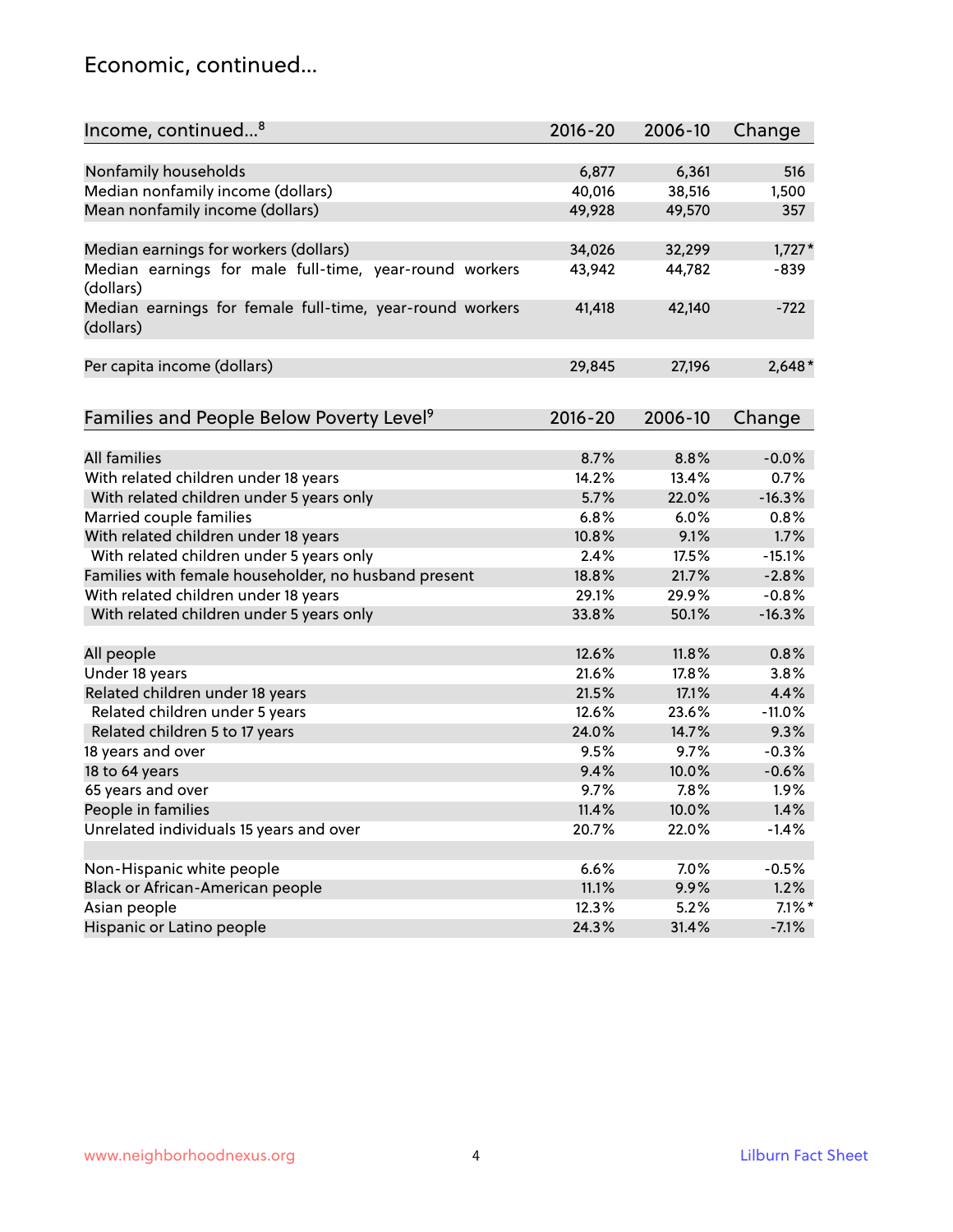#### Economic, continued...

| Income, continued <sup>8</sup>                                        | $2016 - 20$ | 2006-10 | Change    |
|-----------------------------------------------------------------------|-------------|---------|-----------|
|                                                                       |             |         |           |
| Nonfamily households                                                  | 6,877       | 6,361   | 516       |
| Median nonfamily income (dollars)                                     | 40,016      | 38,516  | 1,500     |
| Mean nonfamily income (dollars)                                       | 49,928      | 49,570  | 357       |
| Median earnings for workers (dollars)                                 | 34,026      | 32,299  | $1,727*$  |
| Median earnings for male full-time, year-round workers                | 43,942      | 44,782  | $-839$    |
| (dollars)                                                             |             |         |           |
| Median earnings for female full-time, year-round workers<br>(dollars) | 41,418      | 42,140  | $-722$    |
| Per capita income (dollars)                                           | 29,845      | 27,196  | $2,648*$  |
|                                                                       |             |         |           |
| Families and People Below Poverty Level <sup>9</sup>                  | 2016-20     | 2006-10 | Change    |
|                                                                       |             |         |           |
| <b>All families</b>                                                   | 8.7%        | 8.8%    | $-0.0%$   |
| With related children under 18 years                                  | 14.2%       | 13.4%   | 0.7%      |
| With related children under 5 years only                              | 5.7%        | 22.0%   | $-16.3%$  |
| Married couple families                                               | 6.8%        | 6.0%    | 0.8%      |
| With related children under 18 years                                  | 10.8%       | 9.1%    | 1.7%      |
| With related children under 5 years only                              | 2.4%        | 17.5%   | $-15.1%$  |
| Families with female householder, no husband present                  | 18.8%       | 21.7%   | $-2.8%$   |
| With related children under 18 years                                  | 29.1%       | 29.9%   | $-0.8%$   |
| With related children under 5 years only                              | 33.8%       | 50.1%   | $-16.3%$  |
| All people                                                            | 12.6%       | 11.8%   | 0.8%      |
| Under 18 years                                                        | 21.6%       | 17.8%   | 3.8%      |
| Related children under 18 years                                       | 21.5%       | 17.1%   | 4.4%      |
| Related children under 5 years                                        | 12.6%       | 23.6%   | $-11.0%$  |
| Related children 5 to 17 years                                        | 24.0%       | 14.7%   | 9.3%      |
| 18 years and over                                                     | 9.5%        | 9.7%    | $-0.3%$   |
| 18 to 64 years                                                        | 9.4%        | 10.0%   | $-0.6%$   |
| 65 years and over                                                     | 9.7%        | 7.8%    | 1.9%      |
| People in families                                                    | 11.4%       | 10.0%   | 1.4%      |
| Unrelated individuals 15 years and over                               | 20.7%       | 22.0%   | $-1.4%$   |
|                                                                       |             |         |           |
| Non-Hispanic white people                                             | 6.6%        | 7.0%    | $-0.5%$   |
| Black or African-American people                                      | 11.1%       | 9.9%    | 1.2%      |
| Asian people                                                          | 12.3%       | 5.2%    | $7.1\%$ * |
| Hispanic or Latino people                                             | 24.3%       | 31.4%   | $-7.1%$   |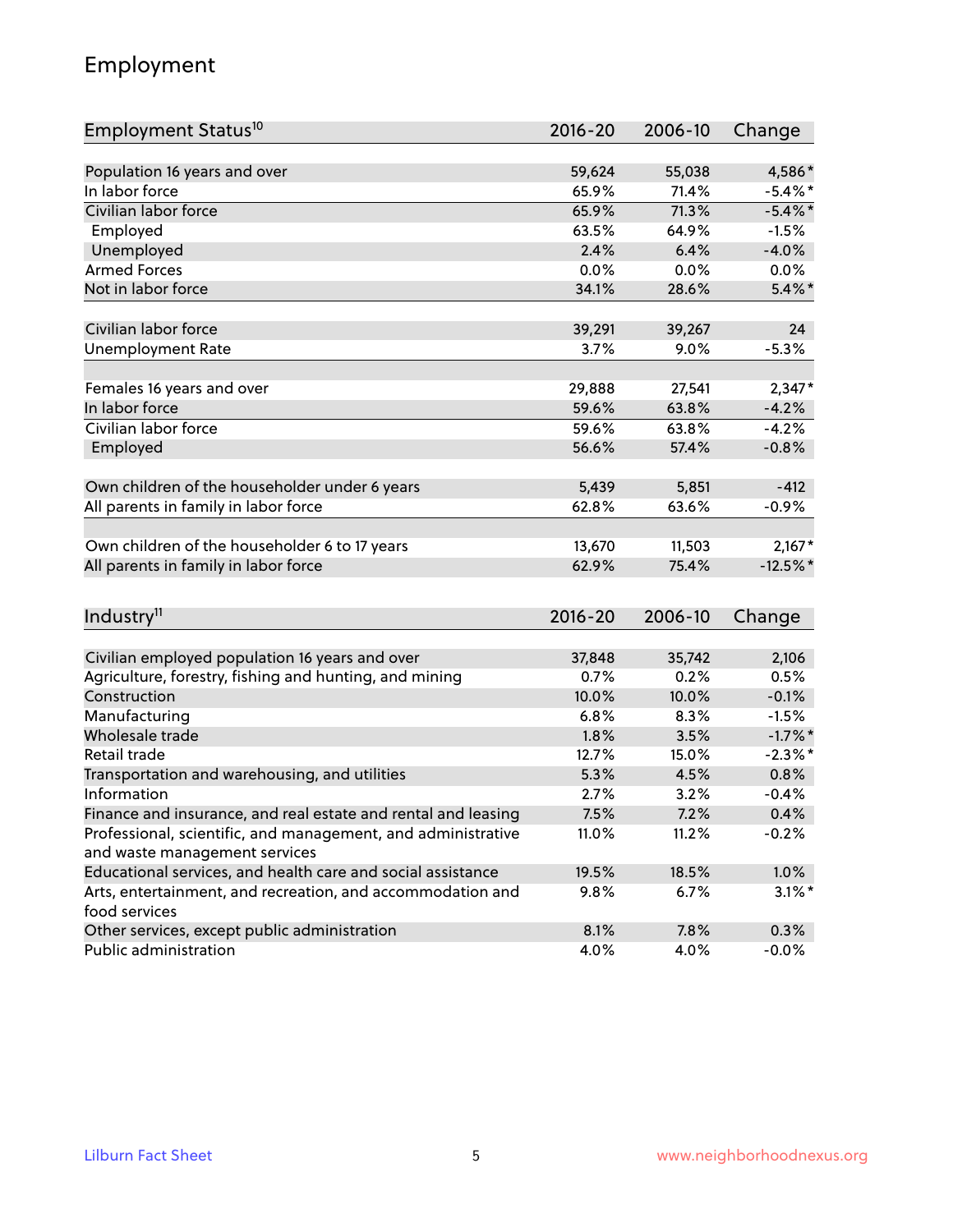## Employment

| Employment Status <sup>10</sup>                                        | $2016 - 20$ | 2006-10        | Change        |
|------------------------------------------------------------------------|-------------|----------------|---------------|
|                                                                        |             |                |               |
| Population 16 years and over                                           | 59,624      | 55,038         | 4,586*        |
| In labor force                                                         | 65.9%       | 71.4%          | $-5.4\%$ *    |
| Civilian labor force                                                   | 65.9%       | 71.3%          | $-5.4\%$ *    |
| Employed                                                               | 63.5%       | 64.9%          | $-1.5%$       |
| Unemployed                                                             | 2.4%        | 6.4%           | $-4.0%$       |
| <b>Armed Forces</b>                                                    | 0.0%        | 0.0%           | $0.0\%$       |
| Not in labor force                                                     | 34.1%       | 28.6%          | $5.4\%$ *     |
| Civilian labor force                                                   | 39,291      | 39,267         | 24            |
| <b>Unemployment Rate</b>                                               | 3.7%        | 9.0%           | $-5.3%$       |
|                                                                        |             |                |               |
| Females 16 years and over                                              | 29,888      | 27,541         | $2,347*$      |
| In labor force                                                         | 59.6%       | 63.8%          | $-4.2%$       |
| Civilian labor force                                                   | 59.6%       | 63.8%          | $-4.2%$       |
| Employed                                                               | 56.6%       | 57.4%          | $-0.8%$       |
| Own children of the householder under 6 years                          | 5,439       | 5,851          | $-412$        |
| All parents in family in labor force                                   | 62.8%       | 63.6%          | $-0.9%$       |
|                                                                        |             |                |               |
| Own children of the householder 6 to 17 years                          | 13,670      | 11,503         | $2,167*$      |
| All parents in family in labor force                                   | 62.9%       | 75.4%          | $-12.5%$ *    |
|                                                                        |             |                |               |
| Industry <sup>11</sup>                                                 | $2016 - 20$ | 2006-10        | Change        |
| Civilian employed population 16 years and over                         | 37,848      |                |               |
|                                                                        | 0.7%        | 35,742<br>0.2% | 2,106<br>0.5% |
| Agriculture, forestry, fishing and hunting, and mining<br>Construction | 10.0%       | 10.0%          | $-0.1%$       |
| Manufacturing                                                          | 6.8%        | 8.3%           | $-1.5%$       |
| Wholesale trade                                                        | 1.8%        | 3.5%           | $-1.7\%$ *    |
| Retail trade                                                           | 12.7%       | 15.0%          | $-2.3\%$ *    |
| Transportation and warehousing, and utilities                          | 5.3%        | 4.5%           | 0.8%          |
| Information                                                            | 2.7%        | 3.2%           | $-0.4%$       |
| Finance and insurance, and real estate and rental and leasing          | 7.5%        | 7.2%           | 0.4%          |
| Professional, scientific, and management, and administrative           | 11.0%       | 11.2%          | $-0.2%$       |
| and waste management services                                          |             |                |               |
| Educational services, and health care and social assistance            | 19.5%       | 18.5%          | 1.0%          |
| Arts, entertainment, and recreation, and accommodation and             | 9.8%        | 6.7%           | $3.1\%$ *     |
| food services                                                          |             |                |               |
| Other services, except public administration                           | 8.1%        | 7.8%           | 0.3%          |
| Public administration                                                  | 4.0%        | 4.0%           | $-0.0%$       |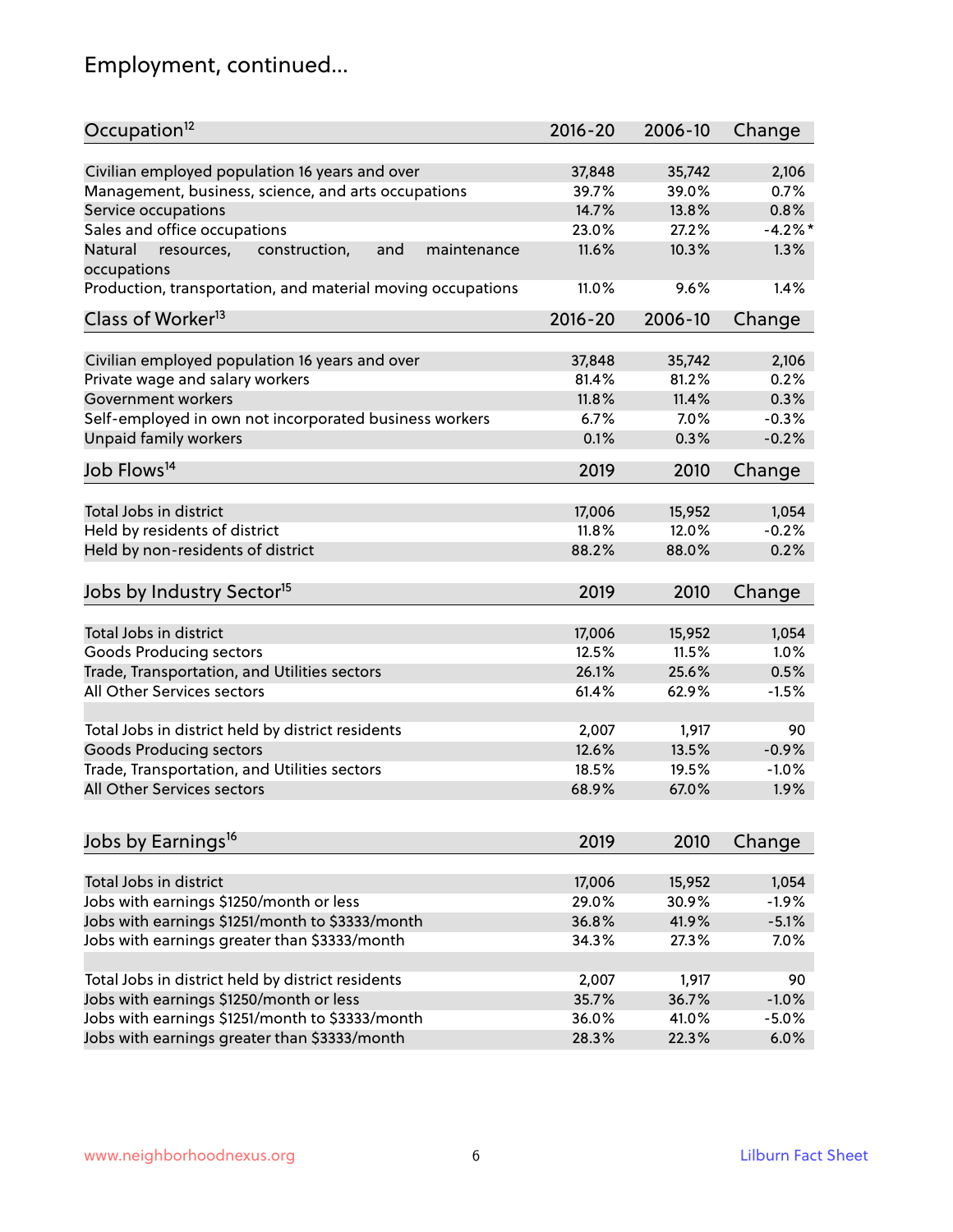# Employment, continued...

| Occupation <sup>12</sup>                                                                              | $2016 - 20$     | 2006-10         | Change        |
|-------------------------------------------------------------------------------------------------------|-----------------|-----------------|---------------|
|                                                                                                       |                 |                 |               |
| Civilian employed population 16 years and over<br>Management, business, science, and arts occupations | 37,848<br>39.7% | 35,742<br>39.0% | 2,106<br>0.7% |
|                                                                                                       | 14.7%           | 13.8%           | 0.8%          |
| Service occupations                                                                                   | 23.0%           | 27.2%           | $-4.2%$       |
| Sales and office occupations                                                                          |                 |                 |               |
| Natural<br>and<br>resources,<br>construction,<br>maintenance<br>occupations                           | 11.6%           | 10.3%           | 1.3%          |
| Production, transportation, and material moving occupations                                           | 11.0%           | 9.6%            | 1.4%          |
| Class of Worker <sup>13</sup>                                                                         | $2016 - 20$     | 2006-10         | Change        |
| Civilian employed population 16 years and over                                                        | 37,848          | 35,742          | 2,106         |
| Private wage and salary workers                                                                       | 81.4%           | 81.2%           | 0.2%          |
| Government workers                                                                                    | 11.8%           | 11.4%           | 0.3%          |
| Self-employed in own not incorporated business workers                                                | 6.7%            | 7.0%            | $-0.3%$       |
| Unpaid family workers                                                                                 | 0.1%            | 0.3%            | $-0.2%$       |
| Job Flows <sup>14</sup>                                                                               | 2019            | 2010            | Change        |
|                                                                                                       |                 |                 |               |
| Total Jobs in district                                                                                | 17,006          | 15,952          | 1,054         |
| Held by residents of district                                                                         | 11.8%           | 12.0%           | $-0.2%$       |
| Held by non-residents of district                                                                     | 88.2%           | 88.0%           | 0.2%          |
| Jobs by Industry Sector <sup>15</sup>                                                                 | 2019            | 2010            | Change        |
| Total Jobs in district                                                                                | 17,006          | 15,952          | 1,054         |
| Goods Producing sectors                                                                               | 12.5%           | 11.5%           | 1.0%          |
| Trade, Transportation, and Utilities sectors                                                          | 26.1%           | 25.6%           | 0.5%          |
| All Other Services sectors                                                                            | 61.4%           | 62.9%           | $-1.5%$       |
|                                                                                                       |                 |                 |               |
| Total Jobs in district held by district residents                                                     | 2,007           | 1,917           | 90            |
| <b>Goods Producing sectors</b>                                                                        | 12.6%           | 13.5%           | $-0.9%$       |
| Trade, Transportation, and Utilities sectors                                                          | 18.5%           | 19.5%           | $-1.0%$       |
| All Other Services sectors                                                                            | 68.9%           | 67.0%           | 1.9%          |
|                                                                                                       |                 |                 |               |
| Jobs by Earnings <sup>16</sup>                                                                        | 2019            | 2010            | Change        |
| Total Jobs in district                                                                                | 17,006          | 15,952          | 1,054         |
| Jobs with earnings \$1250/month or less                                                               | 29.0%           | 30.9%           | $-1.9%$       |
| Jobs with earnings \$1251/month to \$3333/month                                                       | 36.8%           | 41.9%           | $-5.1%$       |
| Jobs with earnings greater than \$3333/month                                                          | 34.3%           | 27.3%           | 7.0%          |
|                                                                                                       |                 |                 |               |
| Total Jobs in district held by district residents                                                     | 2,007           | 1,917           | 90            |
| Jobs with earnings \$1250/month or less                                                               | 35.7%           | 36.7%           | $-1.0%$       |
| Jobs with earnings \$1251/month to \$3333/month                                                       | 36.0%           | 41.0%           | $-5.0%$       |
| Jobs with earnings greater than \$3333/month                                                          | 28.3%           | 22.3%           | 6.0%          |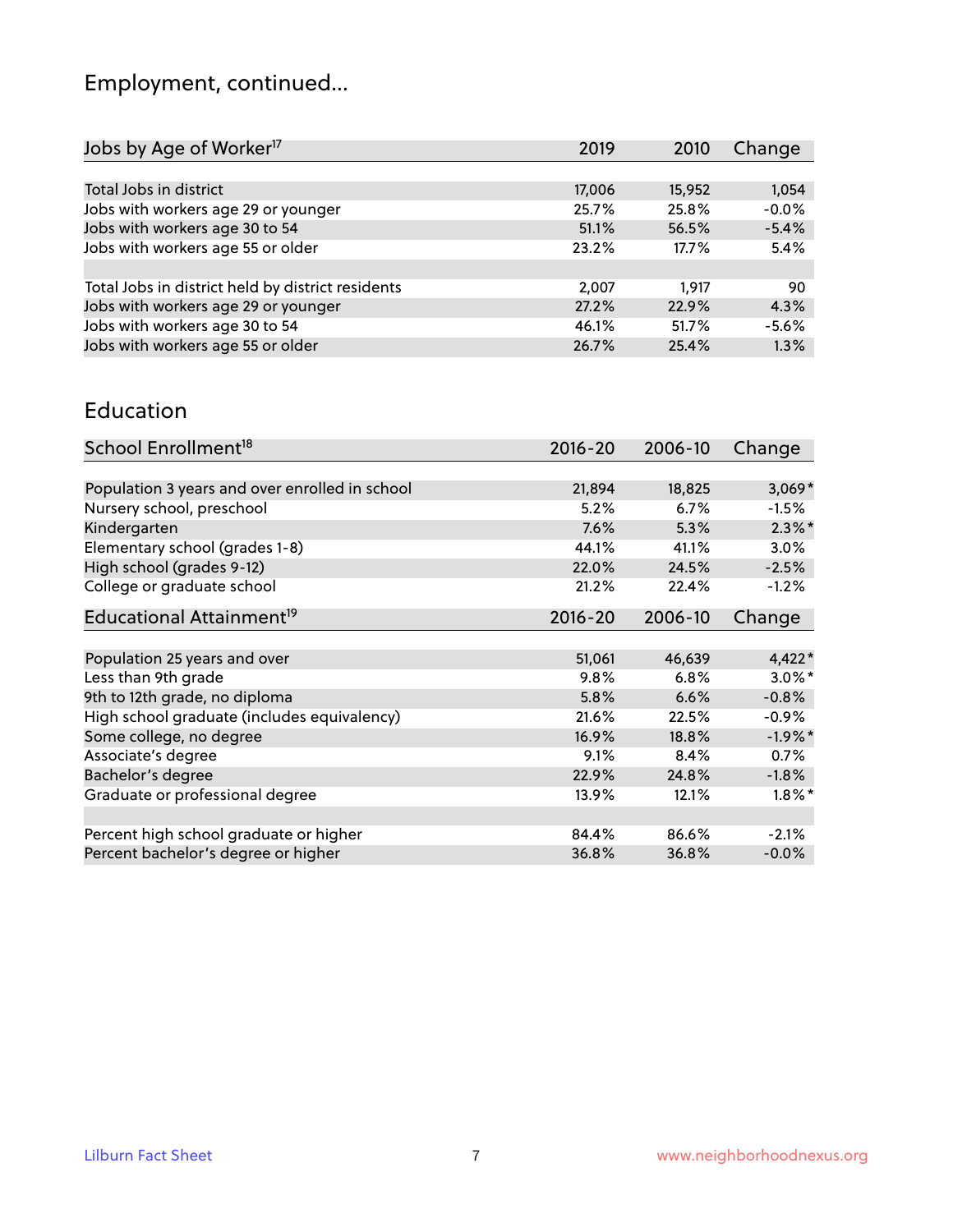# Employment, continued...

| 2010  | Change                                              |
|-------|-----------------------------------------------------|
|       |                                                     |
|       | 1,054                                               |
|       | $-0.0%$                                             |
|       | $-5.4%$                                             |
| 17.7% | 5.4%                                                |
|       |                                                     |
| 1.917 | 90                                                  |
|       | 4.3%                                                |
|       | $-5.6%$                                             |
|       | 1.3%                                                |
|       | 15,952<br>25.8%<br>56.5%<br>22.9%<br>51.7%<br>25.4% |

#### Education

| School Enrollment <sup>18</sup>                | $2016 - 20$ | 2006-10 | Change     |
|------------------------------------------------|-------------|---------|------------|
|                                                |             |         |            |
| Population 3 years and over enrolled in school | 21,894      | 18,825  | $3,069*$   |
| Nursery school, preschool                      | 5.2%        | 6.7%    | $-1.5%$    |
| Kindergarten                                   | 7.6%        | 5.3%    | $2.3\%$ *  |
| Elementary school (grades 1-8)                 | 44.1%       | 41.1%   | 3.0%       |
| High school (grades 9-12)                      | 22.0%       | 24.5%   | $-2.5%$    |
| College or graduate school                     | 21.2%       | 22.4%   | $-1.2%$    |
| Educational Attainment <sup>19</sup>           | $2016 - 20$ | 2006-10 | Change     |
|                                                |             |         |            |
| Population 25 years and over                   | 51,061      | 46,639  | $4,422*$   |
| Less than 9th grade                            | 9.8%        | 6.8%    | $3.0\%$ *  |
| 9th to 12th grade, no diploma                  | 5.8%        | 6.6%    | $-0.8%$    |
| High school graduate (includes equivalency)    | 21.6%       | 22.5%   | $-0.9%$    |
| Some college, no degree                        | 16.9%       | 18.8%   | $-1.9\%$ * |
| Associate's degree                             | 9.1%        | 8.4%    | 0.7%       |
| Bachelor's degree                              | 22.9%       | 24.8%   | $-1.8%$    |
| Graduate or professional degree                | 13.9%       | 12.1%   | $1.8\%$ *  |
|                                                |             |         |            |
| Percent high school graduate or higher         | 84.4%       | 86.6%   | $-2.1%$    |
| Percent bachelor's degree or higher            | 36.8%       | 36.8%   | $-0.0\%$   |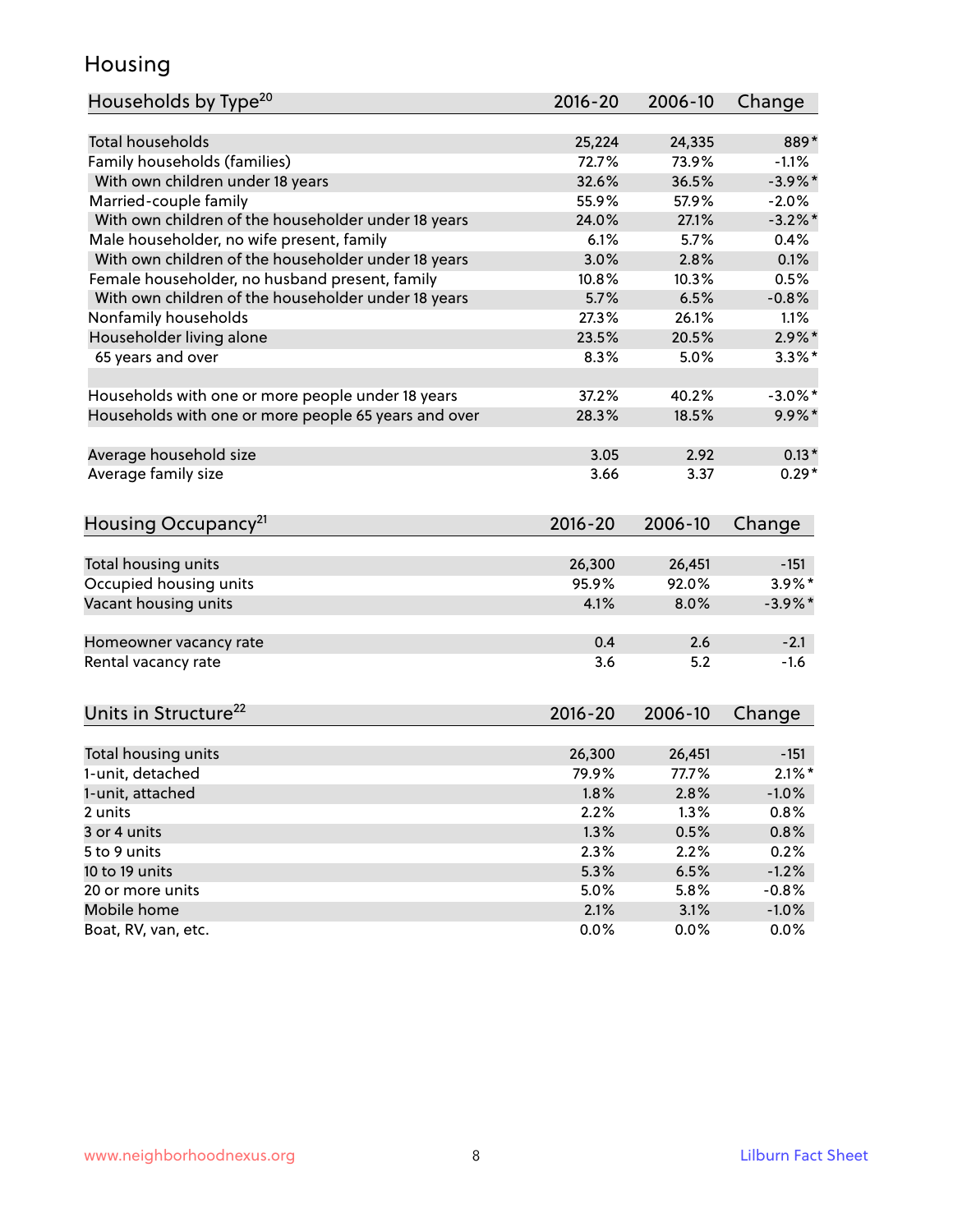## Housing

| Households by Type <sup>20</sup>                     | 2016-20      | 2006-10      | Change          |
|------------------------------------------------------|--------------|--------------|-----------------|
|                                                      |              |              |                 |
| <b>Total households</b>                              | 25,224       | 24,335       | 889*            |
| Family households (families)                         | 72.7%        | 73.9%        | $-1.1%$         |
| With own children under 18 years                     | 32.6%        | 36.5%        | $-3.9\%$ *      |
| Married-couple family                                | 55.9%        | 57.9%        | $-2.0%$         |
| With own children of the householder under 18 years  | 24.0%        | 27.1%        | $-3.2\%$ *      |
| Male householder, no wife present, family            | 6.1%         | 5.7%         | 0.4%            |
| With own children of the householder under 18 years  | 3.0%         | 2.8%         | 0.1%            |
| Female householder, no husband present, family       | 10.8%        | 10.3%        | 0.5%            |
| With own children of the householder under 18 years  | 5.7%         | 6.5%         | $-0.8%$         |
| Nonfamily households                                 | 27.3%        | 26.1%        | 1.1%            |
| Householder living alone                             | 23.5%        | 20.5%        | $2.9\%$ *       |
| 65 years and over                                    | 8.3%         | 5.0%         | $3.3\%$ *       |
|                                                      |              |              |                 |
| Households with one or more people under 18 years    | 37.2%        | 40.2%        | $-3.0\%$ *      |
| Households with one or more people 65 years and over | 28.3%        | 18.5%        | $9.9\%$ *       |
| Average household size                               | 3.05         | 2.92         | $0.13*$         |
| Average family size                                  | 3.66         | 3.37         | $0.29*$         |
|                                                      |              |              |                 |
| Housing Occupancy <sup>21</sup>                      | $2016 - 20$  | 2006-10      | Change          |
|                                                      | 26,300       | 26,451       | $-151$          |
| Total housing units                                  | 95.9%        | 92.0%        | $3.9\%$ *       |
| Occupied housing units                               |              |              |                 |
| Vacant housing units                                 | 4.1%         | 8.0%         | $-3.9\%$ *      |
| Homeowner vacancy rate                               | 0.4          | 2.6          | $-2.1$          |
| Rental vacancy rate                                  | 3.6          | 5.2          | $-1.6$          |
|                                                      |              |              |                 |
| Units in Structure <sup>22</sup>                     | $2016 - 20$  | 2006-10      | Change          |
| Total housing units                                  | 26,300       | 26,451       | $-151$          |
| 1-unit, detached                                     | 79.9%        | 77.7%        | $2.1\%$ *       |
|                                                      |              |              |                 |
| 1-unit, attached<br>2 units                          | 1.8%<br>2.2% | 2.8%<br>1.3% | $-1.0%$<br>0.8% |
| 3 or 4 units                                         |              |              |                 |
| 5 to 9 units                                         | 1.3%         | 0.5%         | 0.8%            |
|                                                      | 2.3%         | 2.2%         | 0.2%            |
| 10 to 19 units                                       | 5.3%         | 6.5%         | $-1.2%$         |
| 20 or more units                                     | 5.0%         | 5.8%         | $-0.8%$         |
| Mobile home                                          | 2.1%         | 3.1%         | $-1.0\%$        |
| Boat, RV, van, etc.                                  | 0.0%         | 0.0%         | $0.0\%$         |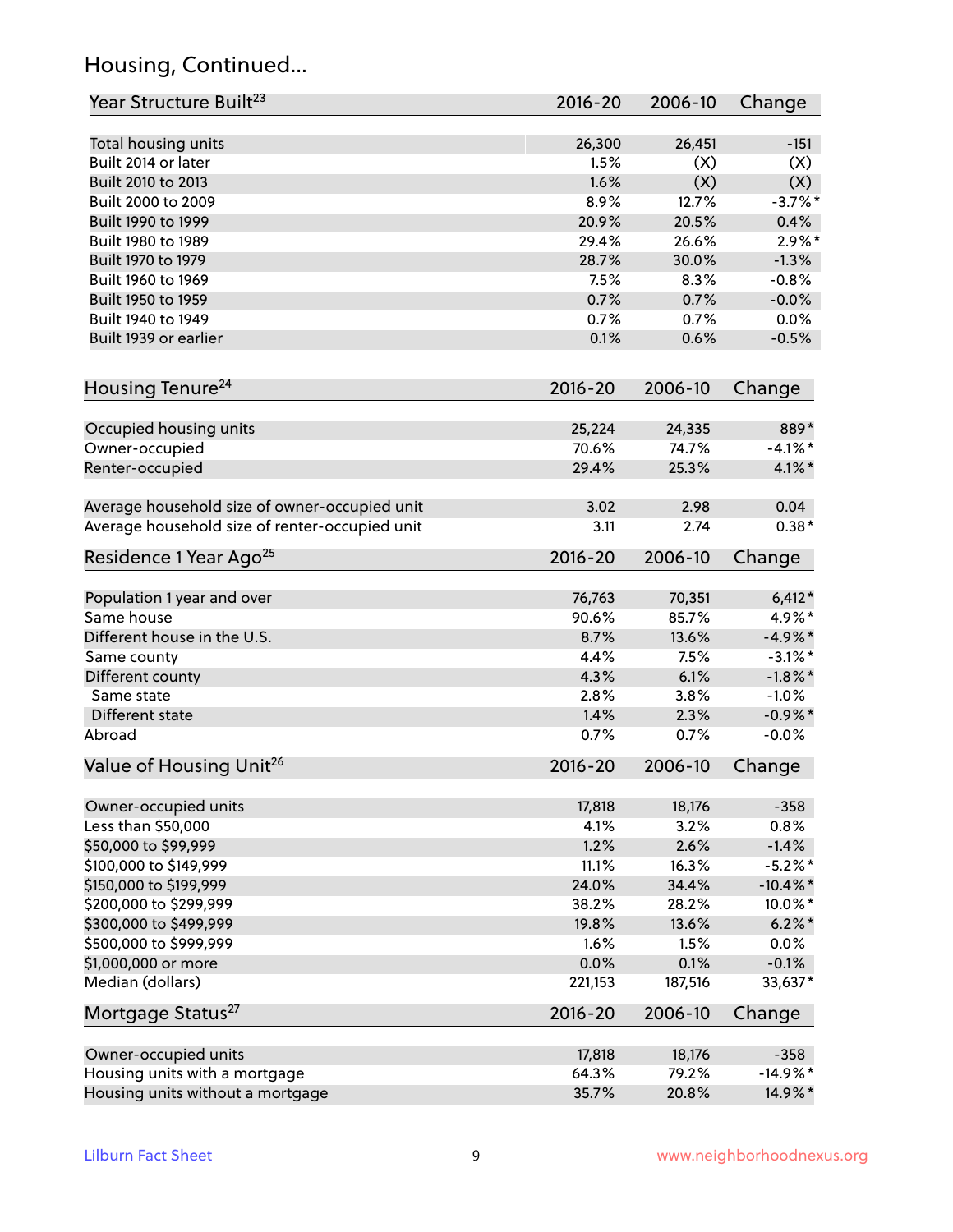## Housing, Continued...

| Year Structure Built <sup>23</sup>             | 2016-20     | 2006-10 | Change      |
|------------------------------------------------|-------------|---------|-------------|
| Total housing units                            | 26,300      | 26,451  | $-151$      |
| Built 2014 or later                            | 1.5%        | (X)     | (X)         |
| Built 2010 to 2013                             | 1.6%        | (X)     | (X)         |
| Built 2000 to 2009                             | 8.9%        | 12.7%   | $-3.7\%$ *  |
| Built 1990 to 1999                             | 20.9%       | 20.5%   | 0.4%        |
| Built 1980 to 1989                             | 29.4%       | 26.6%   | $2.9\%$ *   |
| Built 1970 to 1979                             | 28.7%       | 30.0%   | $-1.3%$     |
| Built 1960 to 1969                             | 7.5%        | 8.3%    | $-0.8%$     |
| Built 1950 to 1959                             | 0.7%        | 0.7%    | $-0.0%$     |
| Built 1940 to 1949                             | 0.7%        | 0.7%    | 0.0%        |
| Built 1939 or earlier                          | 0.1%        | 0.6%    | $-0.5%$     |
| Housing Tenure <sup>24</sup>                   | $2016 - 20$ | 2006-10 | Change      |
|                                                |             |         |             |
| Occupied housing units                         | 25,224      | 24,335  | 889*        |
| Owner-occupied                                 | 70.6%       | 74.7%   | $-4.1\%$ *  |
| Renter-occupied                                | 29.4%       | 25.3%   | $4.1\%$ *   |
| Average household size of owner-occupied unit  | 3.02        | 2.98    | 0.04        |
| Average household size of renter-occupied unit | 3.11        | 2.74    | $0.38*$     |
| Residence 1 Year Ago <sup>25</sup>             | $2016 - 20$ | 2006-10 | Change      |
|                                                |             |         |             |
| Population 1 year and over                     | 76,763      | 70,351  | $6,412*$    |
| Same house                                     | 90.6%       | 85.7%   | 4.9%*       |
| Different house in the U.S.                    | 8.7%        | 13.6%   | $-4.9\%$ *  |
| Same county                                    | 4.4%        | 7.5%    | $-3.1\%$ *  |
| Different county                               | 4.3%        | 6.1%    | $-1.8\%$ *  |
| Same state                                     | 2.8%        | 3.8%    | $-1.0%$     |
| Different state                                | 1.4%        | 2.3%    | $-0.9\%$ *  |
| Abroad                                         | 0.7%        | 0.7%    | $-0.0%$     |
| Value of Housing Unit <sup>26</sup>            | $2016 - 20$ | 2006-10 | Change      |
| Owner-occupied units                           | 17,818      | 18,176  | $-358$      |
| Less than \$50,000                             | 4.1%        | 3.2%    | 0.8%        |
| \$50,000 to \$99,999                           | 1.2%        | 2.6%    | $-1.4%$     |
| \$100,000 to \$149,999                         | 11.1%       | 16.3%   | $-5.2\%$ *  |
| \$150,000 to \$199,999                         | 24.0%       | 34.4%   | $-10.4\%$ * |
| \$200,000 to \$299,999                         | 38.2%       | 28.2%   | 10.0%*      |
| \$300,000 to \$499,999                         | 19.8%       | 13.6%   | $6.2\% *$   |
| \$500,000 to \$999,999                         | 1.6%        | 1.5%    | 0.0%        |
| \$1,000,000 or more                            | 0.0%        | 0.1%    | $-0.1%$     |
| Median (dollars)                               | 221,153     | 187,516 | 33,637*     |
| Mortgage Status <sup>27</sup>                  | $2016 - 20$ | 2006-10 | Change      |
| Owner-occupied units                           | 17,818      | 18,176  | $-358$      |
| Housing units with a mortgage                  | 64.3%       | 79.2%   | $-14.9%$ *  |
| Housing units without a mortgage               | 35.7%       | 20.8%   | 14.9%*      |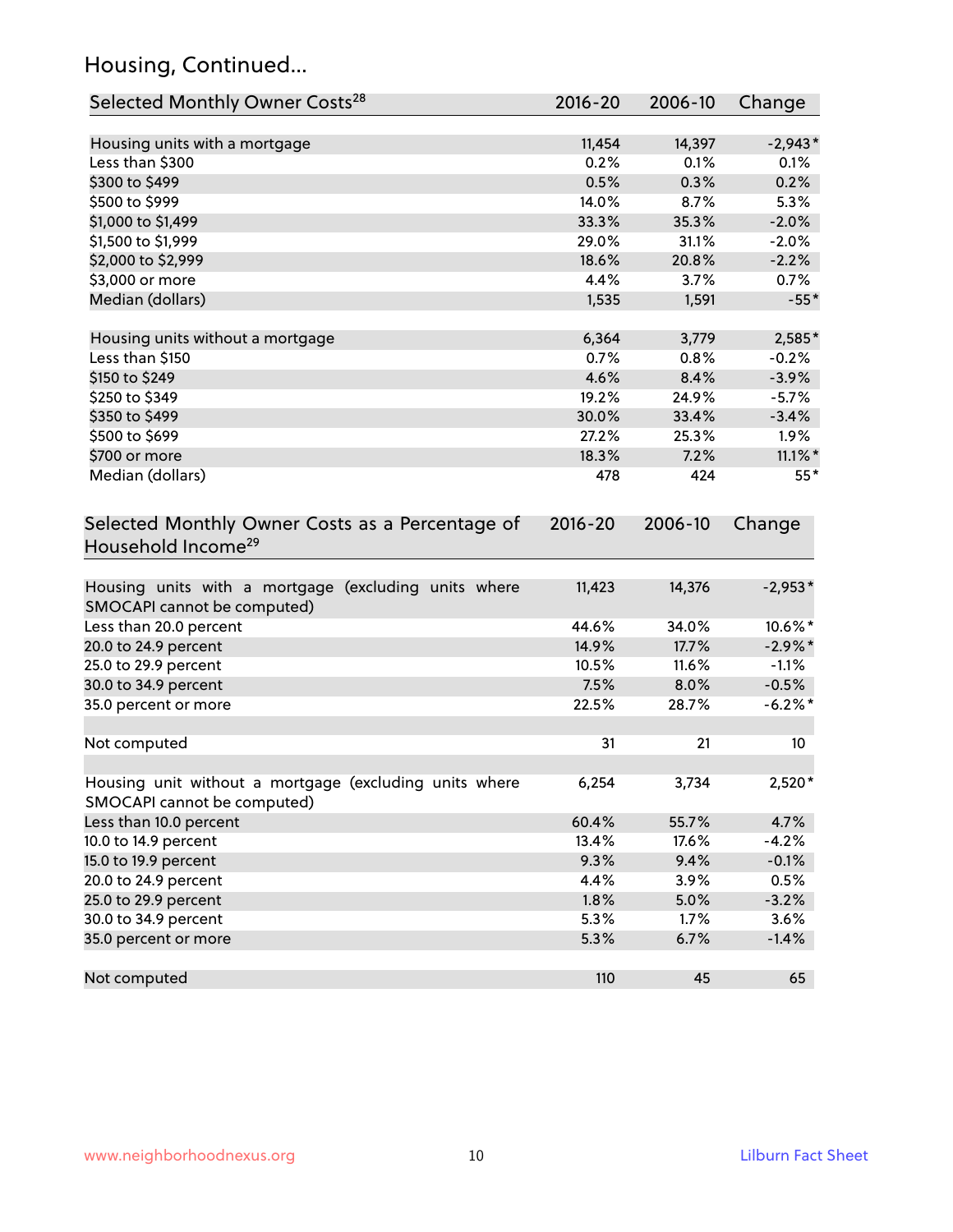## Housing, Continued...

| Selected Monthly Owner Costs <sup>28</sup>                                            | 2016-20     | 2006-10 | Change     |
|---------------------------------------------------------------------------------------|-------------|---------|------------|
| Housing units with a mortgage                                                         | 11,454      | 14,397  | $-2,943*$  |
| Less than \$300                                                                       | 0.2%        | 0.1%    | 0.1%       |
| \$300 to \$499                                                                        | 0.5%        | 0.3%    | 0.2%       |
| \$500 to \$999                                                                        | 14.0%       | 8.7%    | 5.3%       |
| \$1,000 to \$1,499                                                                    | 33.3%       | 35.3%   | $-2.0%$    |
| \$1,500 to \$1,999                                                                    | 29.0%       | 31.1%   | $-2.0%$    |
| \$2,000 to \$2,999                                                                    | 18.6%       | 20.8%   | $-2.2%$    |
| \$3,000 or more                                                                       | 4.4%        | 3.7%    | 0.7%       |
| Median (dollars)                                                                      | 1,535       | 1,591   | $-55*$     |
| Housing units without a mortgage                                                      | 6,364       | 3,779   | 2,585*     |
| Less than \$150                                                                       | 0.7%        | 0.8%    | $-0.2%$    |
| \$150 to \$249                                                                        | 4.6%        | 8.4%    | $-3.9%$    |
| \$250 to \$349                                                                        | 19.2%       | 24.9%   | $-5.7%$    |
| \$350 to \$499                                                                        | 30.0%       | 33.4%   | $-3.4%$    |
| \$500 to \$699                                                                        | 27.2%       | 25.3%   | 1.9%       |
| \$700 or more                                                                         | 18.3%       | 7.2%    | $11.1\%$ * |
| Median (dollars)                                                                      | 478         | 424     | $55*$      |
| Selected Monthly Owner Costs as a Percentage of<br>Household Income <sup>29</sup>     | $2016 - 20$ | 2006-10 | Change     |
| Housing units with a mortgage (excluding units where<br>SMOCAPI cannot be computed)   | 11,423      | 14,376  | $-2,953*$  |
| Less than 20.0 percent                                                                | 44.6%       | 34.0%   | 10.6%*     |
| 20.0 to 24.9 percent                                                                  | 14.9%       | 17.7%   | $-2.9\%$ * |
| 25.0 to 29.9 percent                                                                  | 10.5%       | 11.6%   | $-1.1%$    |
| 30.0 to 34.9 percent                                                                  | 7.5%        | 8.0%    | $-0.5%$    |
| 35.0 percent or more                                                                  | 22.5%       | 28.7%   | $-6.2\%$ * |
| Not computed                                                                          | 31          | 21      | 10         |
| Housing unit without a mortgage (excluding units where<br>SMOCAPI cannot be computed) | 6,254       | 3,734   | 2,520*     |
| Less than 10.0 percent                                                                | 60.4%       | 55.7%   | 4.7%       |
| 10.0 to 14.9 percent                                                                  | 13.4%       | 17.6%   | $-4.2%$    |
| 15.0 to 19.9 percent                                                                  | 9.3%        | 9.4%    | $-0.1%$    |
| 20.0 to 24.9 percent                                                                  | 4.4%        | 3.9%    | 0.5%       |
| 25.0 to 29.9 percent                                                                  | 1.8%        | 5.0%    | $-3.2%$    |
| 30.0 to 34.9 percent                                                                  | 5.3%        | 1.7%    | 3.6%       |
| 35.0 percent or more                                                                  | 5.3%        | 6.7%    | $-1.4%$    |
| Not computed                                                                          | 110         | 45      | 65         |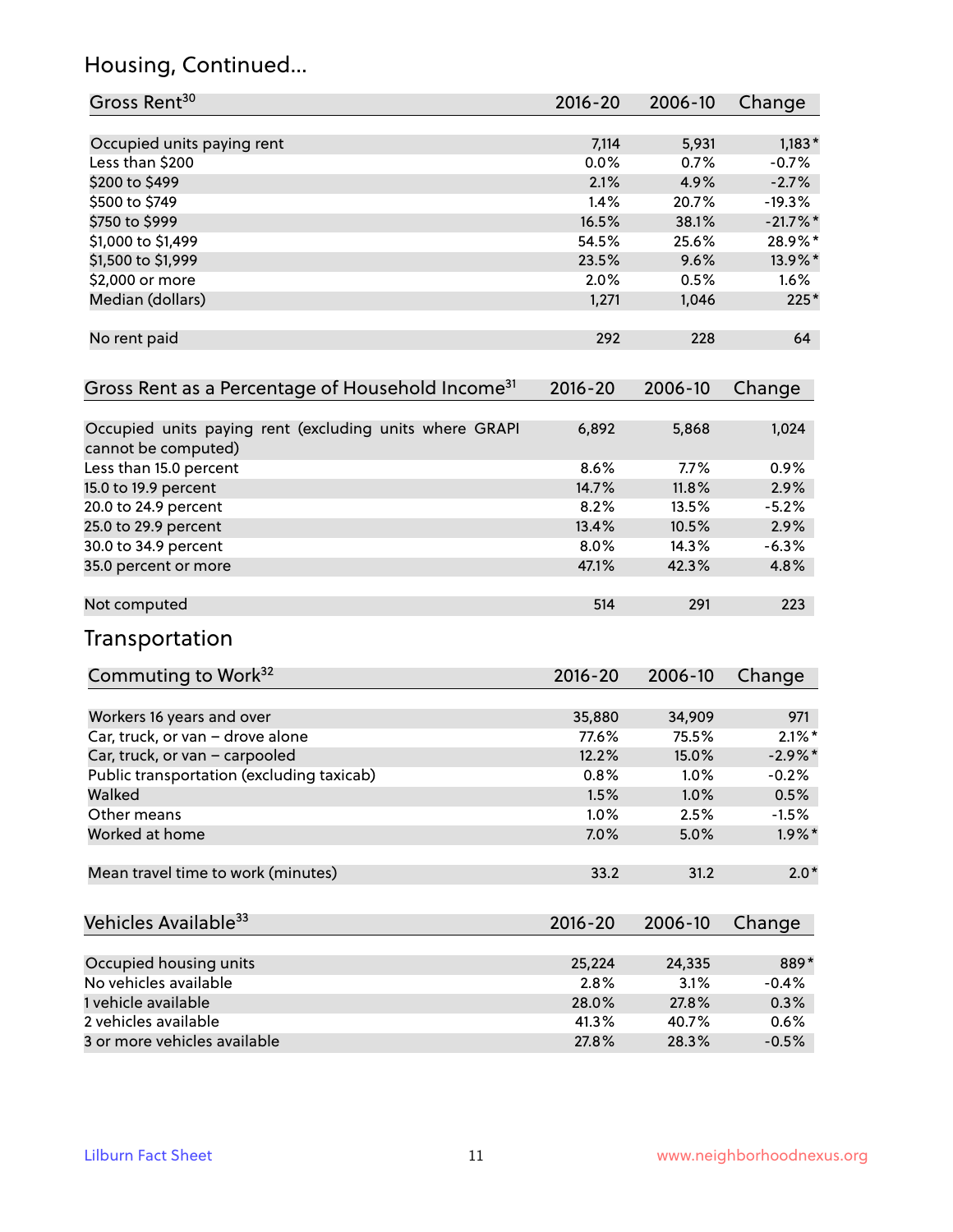## Housing, Continued...

| Gross Rent <sup>30</sup>                                                       | 2016-20     | 2006-10 | Change     |
|--------------------------------------------------------------------------------|-------------|---------|------------|
|                                                                                |             |         |            |
| Occupied units paying rent                                                     | 7,114       | 5,931   | $1,183*$   |
| Less than \$200                                                                | 0.0%        | 0.7%    | $-0.7%$    |
| \$200 to \$499                                                                 | 2.1%        | 4.9%    | $-2.7%$    |
| \$500 to \$749                                                                 | 1.4%        | 20.7%   | $-19.3%$   |
| \$750 to \$999                                                                 | 16.5%       | 38.1%   | $-21.7%$   |
| \$1,000 to \$1,499                                                             | 54.5%       | 25.6%   | 28.9%*     |
| \$1,500 to \$1,999                                                             | 23.5%       | 9.6%    | 13.9%*     |
| \$2,000 or more                                                                | 2.0%        | 0.5%    | 1.6%       |
| Median (dollars)                                                               | 1,271       | 1,046   | $225*$     |
| No rent paid                                                                   | 292         | 228     | 64         |
| Gross Rent as a Percentage of Household Income <sup>31</sup>                   | $2016 - 20$ | 2006-10 | Change     |
| Occupied units paying rent (excluding units where GRAPI<br>cannot be computed) | 6,892       | 5,868   | 1,024      |
| Less than 15.0 percent                                                         | 8.6%        | 7.7%    | 0.9%       |
| 15.0 to 19.9 percent                                                           | 14.7%       | 11.8%   | 2.9%       |
| 20.0 to 24.9 percent                                                           | 8.2%        | 13.5%   | $-5.2%$    |
| 25.0 to 29.9 percent                                                           | 13.4%       | 10.5%   | 2.9%       |
| 30.0 to 34.9 percent                                                           | 8.0%        | 14.3%   | $-6.3%$    |
| 35.0 percent or more                                                           | 47.1%       | 42.3%   | 4.8%       |
|                                                                                |             |         |            |
| Not computed                                                                   | 514         | 291     | 223        |
| Transportation                                                                 |             |         |            |
| Commuting to Work <sup>32</sup>                                                | 2016-20     | 2006-10 | Change     |
| Workers 16 years and over                                                      | 35,880      | 34,909  | 971        |
| Car, truck, or van - drove alone                                               | 77.6%       | 75.5%   | $2.1\%$ *  |
| Car, truck, or van - carpooled                                                 | 12.2%       | 15.0%   | $-2.9\%$ * |
| Public transportation (excluding taxicab)                                      | 0.8%        | 1.0%    | $-0.2%$    |
| Walked                                                                         | 1.5%        | 1.0%    | 0.5%       |
| Other means                                                                    | 1.0%        | 2.5%    | $-1.5%$    |
| Worked at home                                                                 | 7.0%        | 5.0%    | $1.9\%$ *  |
| Mean travel time to work (minutes)                                             | 33.2        | 31.2    | $2.0*$     |
| Vehicles Available <sup>33</sup>                                               | 2016-20     | 2006-10 | Change     |
| Occupied housing units                                                         | 25,224      | 24,335  | 889*       |
| No vehicles available                                                          | 2.8%        | 3.1%    | $-0.4%$    |
| 1 vehicle available                                                            | 28.0%       | 27.8%   | 0.3%       |
| 2 vehicles available                                                           | 41.3%       | 40.7%   | 0.6%       |
| 3 or more vehicles available                                                   | 27.8%       | 28.3%   | $-0.5%$    |
|                                                                                |             |         |            |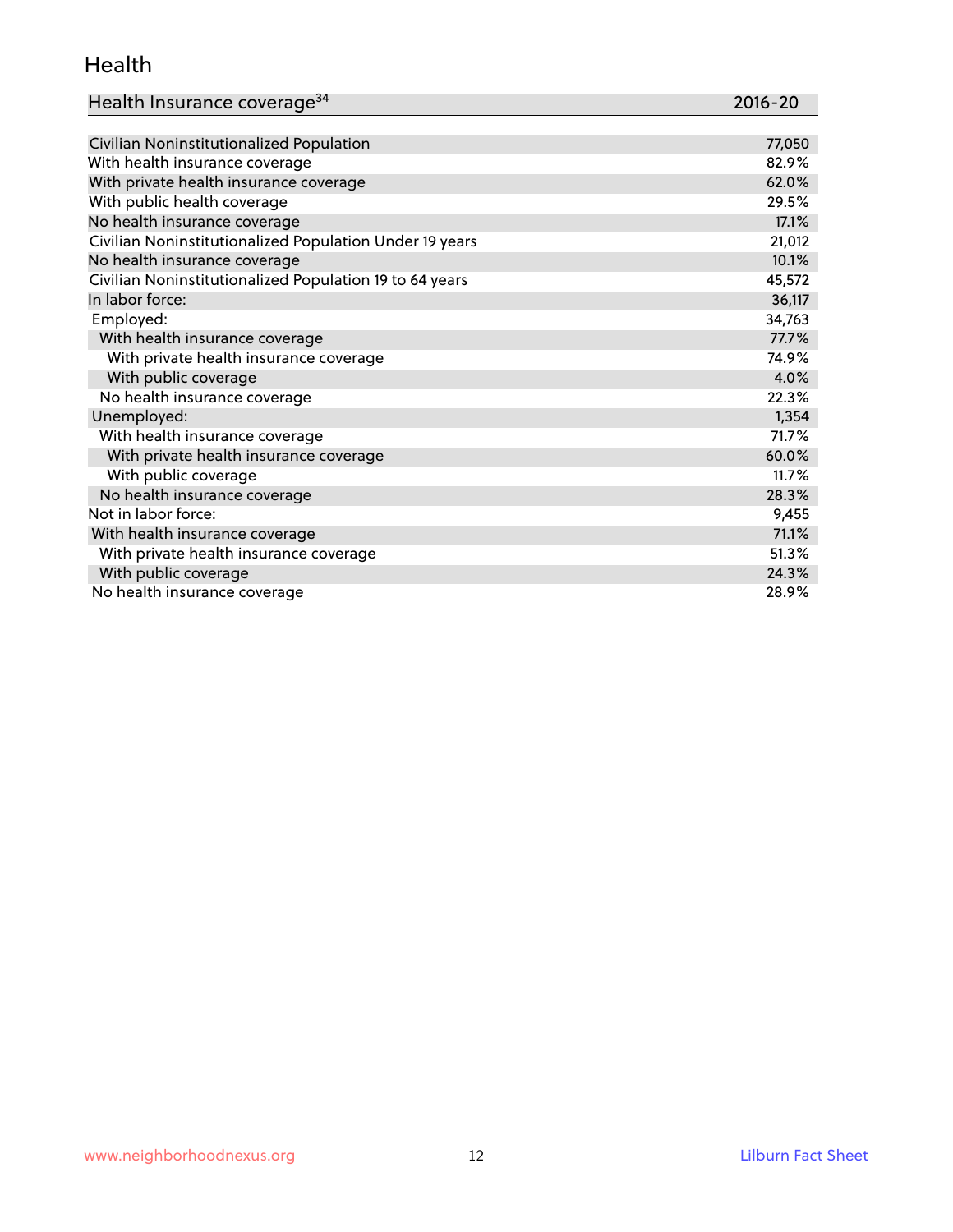#### Health

| Health Insurance coverage <sup>34</sup> | 2016-20 |
|-----------------------------------------|---------|
|-----------------------------------------|---------|

| Civilian Noninstitutionalized Population                | 77,050 |
|---------------------------------------------------------|--------|
| With health insurance coverage                          | 82.9%  |
| With private health insurance coverage                  | 62.0%  |
| With public health coverage                             | 29.5%  |
| No health insurance coverage                            | 17.1%  |
| Civilian Noninstitutionalized Population Under 19 years | 21,012 |
| No health insurance coverage                            | 10.1%  |
| Civilian Noninstitutionalized Population 19 to 64 years | 45,572 |
| In labor force:                                         | 36,117 |
| Employed:                                               | 34,763 |
| With health insurance coverage                          | 77.7%  |
| With private health insurance coverage                  | 74.9%  |
| With public coverage                                    | 4.0%   |
| No health insurance coverage                            | 22.3%  |
| Unemployed:                                             | 1,354  |
| With health insurance coverage                          | 71.7%  |
| With private health insurance coverage                  | 60.0%  |
| With public coverage                                    | 11.7%  |
| No health insurance coverage                            | 28.3%  |
| Not in labor force:                                     | 9,455  |
| With health insurance coverage                          | 71.1%  |
| With private health insurance coverage                  | 51.3%  |
| With public coverage                                    | 24.3%  |
| No health insurance coverage                            | 28.9%  |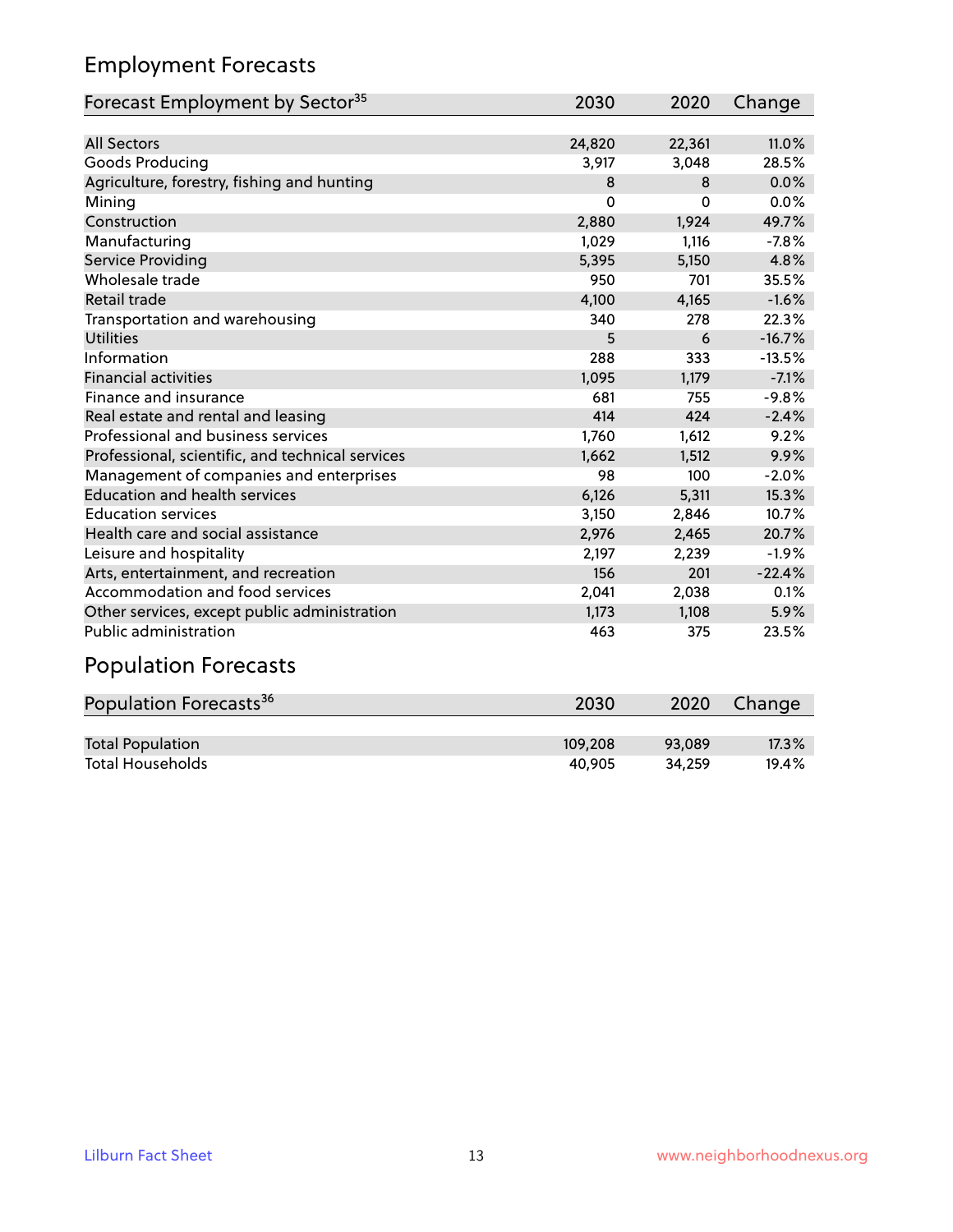#### Employment Forecasts

| Forecast Employment by Sector <sup>35</sup>      | 2030     | 2020     | Change   |
|--------------------------------------------------|----------|----------|----------|
|                                                  |          |          |          |
| <b>All Sectors</b>                               | 24,820   | 22,361   | 11.0%    |
| Goods Producing                                  | 3,917    | 3,048    | 28.5%    |
| Agriculture, forestry, fishing and hunting       | 8        | 8        | 0.0%     |
| Mining                                           | $\Omega$ | $\Omega$ | 0.0%     |
| Construction                                     | 2,880    | 1,924    | 49.7%    |
| Manufacturing                                    | 1,029    | 1,116    | $-7.8%$  |
| Service Providing                                | 5,395    | 5,150    | 4.8%     |
| Wholesale trade                                  | 950      | 701      | 35.5%    |
| Retail trade                                     | 4,100    | 4,165    | $-1.6%$  |
| Transportation and warehousing                   | 340      | 278      | 22.3%    |
| <b>Utilities</b>                                 | 5        | 6        | $-16.7%$ |
| Information                                      | 288      | 333      | $-13.5%$ |
| <b>Financial activities</b>                      | 1,095    | 1,179    | $-7.1%$  |
| Finance and insurance                            | 681      | 755      | $-9.8%$  |
| Real estate and rental and leasing               | 414      | 424      | $-2.4%$  |
| Professional and business services               | 1,760    | 1,612    | 9.2%     |
| Professional, scientific, and technical services | 1,662    | 1,512    | 9.9%     |
| Management of companies and enterprises          | 98       | 100      | $-2.0%$  |
| <b>Education and health services</b>             | 6,126    | 5,311    | 15.3%    |
| <b>Education services</b>                        | 3,150    | 2,846    | 10.7%    |
| Health care and social assistance                | 2,976    | 2,465    | 20.7%    |
| Leisure and hospitality                          | 2,197    | 2,239    | $-1.9%$  |
| Arts, entertainment, and recreation              | 156      | 201      | $-22.4%$ |
| Accommodation and food services                  | 2,041    | 2,038    | 0.1%     |
| Other services, except public administration     | 1,173    | 1,108    | 5.9%     |
| Public administration                            | 463      | 375      | 23.5%    |
| <b>Population Forecasts</b>                      |          |          |          |

## Population Forecasts<sup>36</sup> 2030 2020 Change Total Population 109,208 93,089 17.3%<br>
Total Households 109,208 93,089 17.3% Total Households